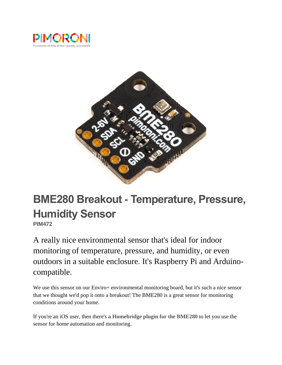



# **BME280 Breakout - Temperature, Pressure, Humidity Sensor**

**PIM472**

A really nice environmental sensor that's ideal for indoor monitoring of temperature, pressure, and humidity, or even outdoors in a suitable enclosure. It's Raspberry Pi and Arduinocompatible.

We use this sensor on our Enviro+ environmental monitoring board, but it's such a nice sensor that we thought we'd pop it onto a breakout! The BME280 is a great sensor for monitoring conditions around your home.

If you're an iOS user, then there's **[a Homebridge plugin for the BME280](https://www.npmjs.com/package/homebridge-bme280)** to let you use the sensor for home automation and monitoring.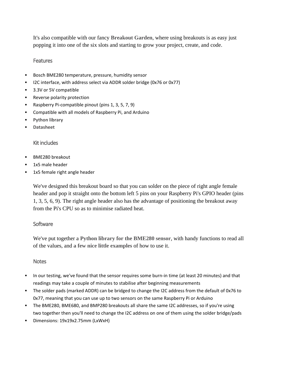It's also compatible with our fancy **[Breakout Garden](https://shop.pimoroni.com/products/breakout-garden-hat-i2c-spi)**, where using breakouts is as easy just popping it into one of the six slots and starting to grow your project, create, and code.

### **Features**

- Bosch BME280 temperature, pressure, humidity sensor
- I2C interface, with address select via ADDR solder bridge (0x76 or 0x77)
- 3.3V or 5V compatible
- Reverse polarity protection
- Raspberry Pi-compatible pinout (pins 1, 3, 5, 7, 9)
- Compatible with all models of Raspberry Pi, and Arduino
- **[Python library](https://github.com/pimoroni/bme280-python)**
- **[Datasheet](https://ae-bst.resource.bosch.com/media/_tech/media/datasheets/BST-BME280-DS002.pdf)**

## Kit includes

- **BME280** breakout
- 1x5 male header
- 1x5 female right angle header

We've designed this breakout board so that you can solder on the piece of right angle female header and pop it straight onto the bottom left 5 pins on your Raspberry Pi's GPIO header (pins 1, 3, 5, 6, 9). The right angle header also has the advantage of positioning the breakout away from the Pi's CPU so as to minimise radiated heat.

## **Software**

We've put together a **[Python library for the BME280 sensor](https://github.com/pimoroni/bme280-python)**, with handy functions to read all of the values, and **a [few nice little examples](https://github.com/pimoroni/bme280-python/tree/master/examples)** of how to use it.

## **Notes**

- In our testing, we've found that the sensor requires some burn-in time (at least 20 minutes) and that readings may take a couple of minutes to stabilise after beginning measurements
- The solder pads (marked ADDR) can be bridged to change the I2C address from the default of 0x76 to 0x77, meaning that you can use up to two sensors on the same Raspberry Pi or Arduino
- The BME280, BME680, and BMP280 breakouts all share the same I2C addresses, so if you're using two together then you'll need to change the I2C address on one of them using the solder bridge/pads
- Dimensions: 19x19x2.75mm (LxWxH)